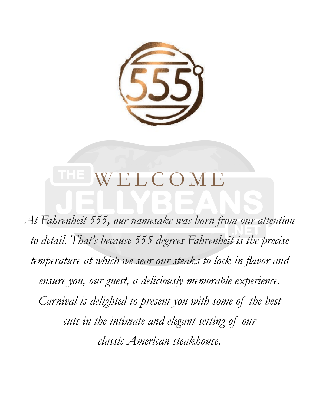

## LCOM

*At Fahrenheit 555, our namesake was born from our attention to detail. That's because 555 degrees Fahrenheit is the precise temperature at which we sear our steaks to lock in flavor and ensure you, our guest, a deliciously memorable experience. Carnival is delighted to present you with some of the best cuts in the intimate and elegant setting of our classic American steakhouse.*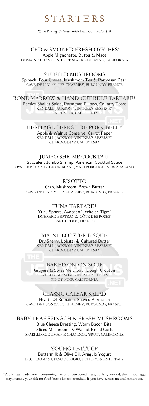### STARTERS

Wine Pairing: ½ Glass With Each Course For \$18

ICED & SMOKED FRESH OYSTERS\* Apple Mignonette, Butter & Mace DOMAINE CHANDON, BRUT, SPARKLING WINE, CALIFORNIA

STUFFED MUSHROOMS Spinach, Four Cheese, Mushroom Tea & Parmesan Pearl CAVE DE LUGNY, 'LES CHARMES', BURGUNDY, FRANCE

BONE MARROW & HAND-CUT BEEF TARTARE\* Parsley Shallot Salad, Parmesan Pillows, Country Toast KENDALL-JACKSON, 'VINTNER'S RESERVE', PINOT NOIR, CALIFORNIA

> HERITAGE BERKSHIRE PORK BELLY Apple & Walnut Conserve, Carrot Paper KENDALL-JACKSON, 'VINTNER'S RESERVE', CHARDONNAY, CALIFORNIA

JUMBO SHRIMP COCKTAIL Succulent Jumbo Shrimp, American Cocktail Sauce OYSTER BAY, SAUVIGNON BLANC, MARLBOROUGH, NEW ZEALAND

RISOTTO Crab, Mushroom, Brown Butter CAVE DE LUGNY, 'LES CHARMES', BURGUNDY, FRANCE

> TUNA TARTARE\* Yuzu Sphere, Avocado "Leche de Tigre" DGERARD BERTRAND, 'CÔTE DES ROSES' LANGUEDOC, FRANCE

MAINE LOBSTER BISQUE Dry Sherry, Lobster & Cultured Butter KENDALL-JACKSON, 'VINTNER'S RESERVE', CHARDONNAY, CALIFORNIA

BAKED ONION SOUP Gruyere & Swiss Melt, Sour Dough Crouton KENDALL-JACKSON, 'VINTNER'S RESERVE', PINOT NOIR, CALIFORNIA

CLASSIC CAESAR SALAD Hearts Of Romaine, Shaved Parmesan CAVE DE LUGNY, 'LES CHARMES', BURGUNDY, FRANCE

BABY LEAF SPINACH & FRESH MUSHROOMS Blue Cheese Dressing, Warm Bacon Bits, Sliced Mushrooms & Walnut Bread Curls SPARKLING, DOMAINE CHANDON, 'BRUT', CALIFORNIA

YOUNG LETTUCE Buttermilk & Olive Oil, Arugula Yogurt ECCO DOMANI, PINOT GRIGIO, DELLE VENEZIE, ITALY

\*Public health advisory – consuming raw or undercooked meat, poultry, seafood, shellfish, or eggs may increase your risk for food-borne illness, especially if you have certain medical conditions.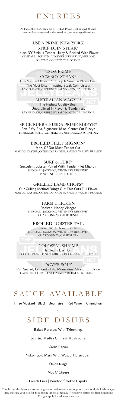### ENTREES

At Fahrenheit 555, each cut of USDA Prime Beef is aged 28 days then perfectly seasoned and cooked to your exact specifications

#### USDA PRIME NEW YORK

STRIP LOIN STEAK\*

14 oz. NY Strip Is Tender, Juicy & Packed With Flavor KENDALL-JACKSON, 'VINTNER'S RESERVE', MERLOT, SONOMA COUNTY, CALIFORNIA

#### USDA PRIME

COWBOY STEAK\*

This Marbled 18 oz. Rib Chop Is Sure To Please Even The Most Discriminating Steak Connoisseur LAYER CAKE, CABERNET SAUVIGNON, CALIFORNIA

#### AUSTRALIAN WAGYU\*

The Highest Quality Beef, Unparalleled In Flavor & Tenderness LAYER CAKE, CABERNET SAUVIGNON, CALIFORNIA

SPICE-RUBBED USDA PRIME RIBEYE\* Five Fifty-Five Signature 18 oz. Center Cut Ribeye TERRAZAS, 'RESERVA', MALBEC, MENDOZA, ARGENTINA

#### BROILED FILET MIGNON\* 9 oz. Of Our Most Tender Cut

MAISON CASTEL, CÔTES DU RHÔNE, RHÔNE VALLEY, FRANCE

SURF & TURF\*

Succulent Lobster Paired With Tender Filet Mignon KENDALL-JACKSON, 'VINTNER'S RESERVE', PINOT NOIR, CALIFORNIA

GRILLED LAMB CHOPS\* Our Grilling Method Brings Out This Cuts Full Flavor MAISON CASTEL, CÔTES DU RHÔNE, RHÔNE VALLEY, FRANCE

#### FARM CHICKEN

Roasted, Honey Vinegar KENDALL-JACKSON, 'VINTNER'S RESERVE', CHARDONNAY, CALIFORNIA

#### BROILED LOBSTER TAIL

Served With Drawn Butter KENDALL-JACKSON, 'VINTNER'S RESERVE', CHARDONNAY, CALIFORNIA

COLOSSAL SHRIMP Grilled in Basil Oil ECCO DOMANI, PINOT GRIGIO, DELLE VENEZIE, ITALY

#### DOVER SOLE

Pan Seared, Lemon-Potato Mousseline, Shallot Emulsion CAVE DE LUGNY, 'LES CHARMES', BURGUNDY, FRANCE

# SAUCE AVAILABLE

Three Mustard BBQ Bearnaise Red Wine Chimichurri

### SIDE DISHES

Baked Potatoes With Trimmings

Sautéed Medley Of Fresh Mushrooms

Garlic Rapini

Yukon Gold Mash With Wasabi Horseradish

Onion Rings

Mac N' Cheese

French Fries | Bourbon Smoked Paprika

\*Public health advisory – consuming raw or undercooked meat, poultry, seafood, shellfish, or eggs may increase your risk for food-borne illness, especially if you have certain medical conditions. Charges apply for additional entrees.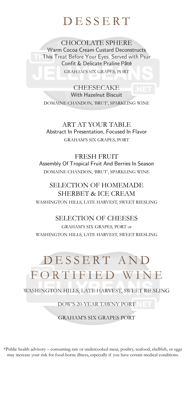### DESSERT

CHOCOLATE SPHERE Warm Cocoa Cream Custard Deconstructs This Treat Before Your Eyes. Served with Pear Confit & Delicate Praline Pâté GRAHAM'S SIX GRAPES, PORT

**CHEESECAKE** With Hazelnut Biscuit DOMAINE CHANDON, 'BRUT', SPARKLING WINE

ART AT YOUR TABLE Abstract In Presentation, Focused In Flavor GRAHAM'S SIX GRAPES, PORT

FRESH FRUIT Assembly Of Tropical Fruit And Berries In Season DOMAINE CHANDON, 'BRUT', SPARKLING WINE

#### SELECTION OF HOMEMADE SHERBET & ICE CREAM WASHINGTON HILLS, LATE HARVEST, SWEET RIESLING

#### SELECTION OF CHEESES

GRAHAM'S SIX GRAPES, PORT or WASHINGTON HILLS, LATE HARVEST, SWEET RIESLING

# DESSERT AND FORTIFIED WINE

WASHINGTON HILLS, LATE HARVEST, SWEET RIESLING

DOW'S 20-YEAR TAWNY PORT

GRAHAM'S SIX GRAPES PORT

\*Public health advisory – consuming raw or undercooked meat, poultry, seafood, shellfish, or eggs may increase your risk for food-borne illness, especially if you have certain medical conditions.